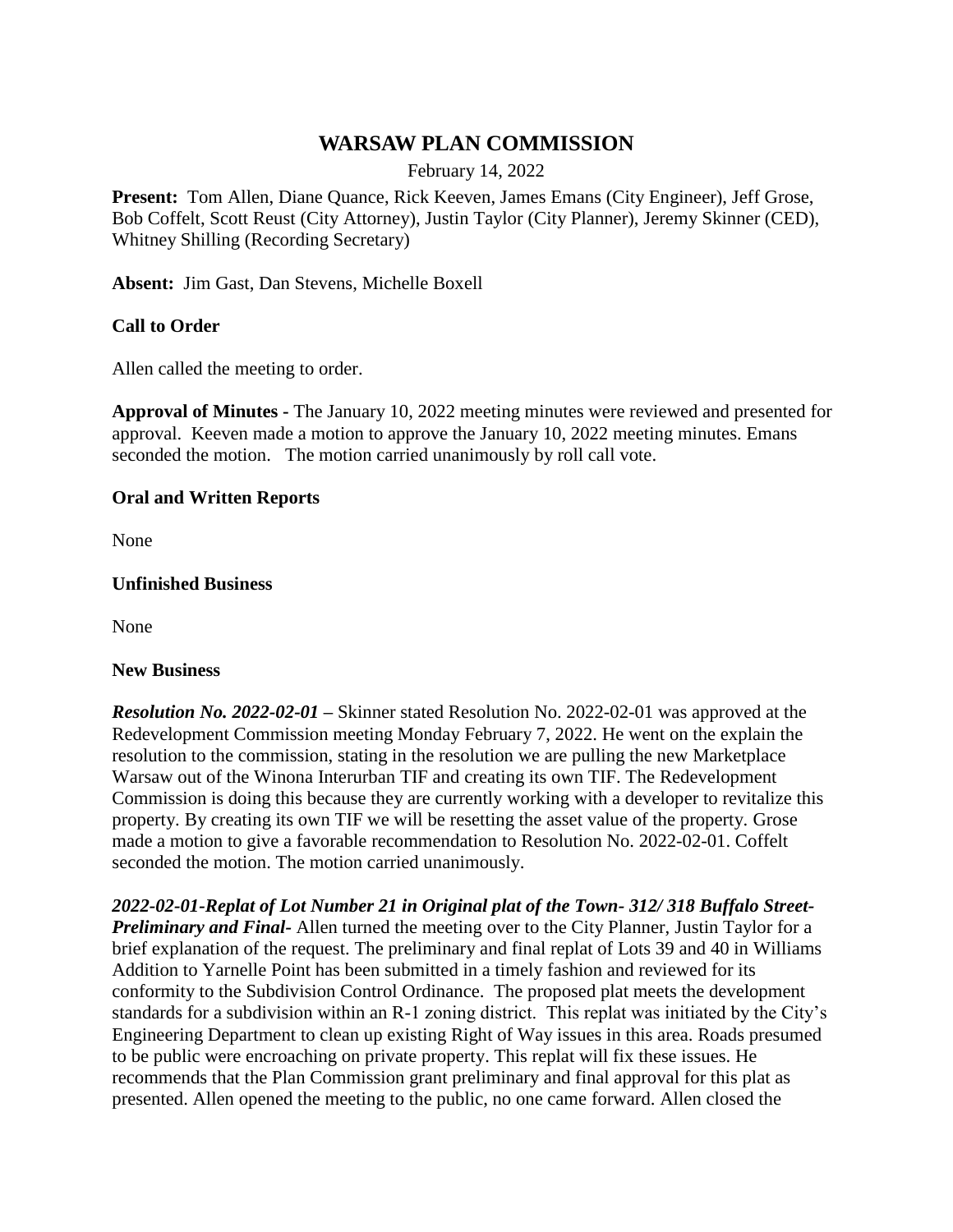# **WARSAW PLAN COMMISSION**

February 14, 2022

**Present:** Tom Allen, Diane Quance, Rick Keeven, James Emans (City Engineer), Jeff Grose, Bob Coffelt, Scott Reust (City Attorney), Justin Taylor (City Planner), Jeremy Skinner (CED), Whitney Shilling (Recording Secretary)

**Absent:** Jim Gast, Dan Stevens, Michelle Boxell

## **Call to Order**

Allen called the meeting to order.

**Approval of Minutes -** The January 10, 2022 meeting minutes were reviewed and presented for approval. Keeven made a motion to approve the January 10, 2022 meeting minutes. Emans seconded the motion. The motion carried unanimously by roll call vote.

#### **Oral and Written Reports**

None

#### **Unfinished Business**

None

#### **New Business**

*Resolution No. 2022-02-01 –* Skinner stated Resolution No. 2022-02-01 was approved at the Redevelopment Commission meeting Monday February 7, 2022. He went on the explain the resolution to the commission, stating in the resolution we are pulling the new Marketplace Warsaw out of the Winona Interurban TIF and creating its own TIF. The Redevelopment Commission is doing this because they are currently working with a developer to revitalize this property. By creating its own TIF we will be resetting the asset value of the property. Grose made a motion to give a favorable recommendation to Resolution No. 2022-02-01. Coffelt seconded the motion. The motion carried unanimously.

*2022-02-01-Replat of Lot Number 21 in Original plat of the Town- 312/ 318 Buffalo Street-Preliminary and Final-* Allen turned the meeting over to the City Planner, Justin Taylor for a brief explanation of the request. The preliminary and final replat of Lots 39 and 40 in Williams Addition to Yarnelle Point has been submitted in a timely fashion and reviewed for its conformity to the Subdivision Control Ordinance. The proposed plat meets the development standards for a subdivision within an R-1 zoning district. This replat was initiated by the City's Engineering Department to clean up existing Right of Way issues in this area. Roads presumed to be public were encroaching on private property. This replat will fix these issues. He recommends that the Plan Commission grant preliminary and final approval for this plat as presented. Allen opened the meeting to the public, no one came forward. Allen closed the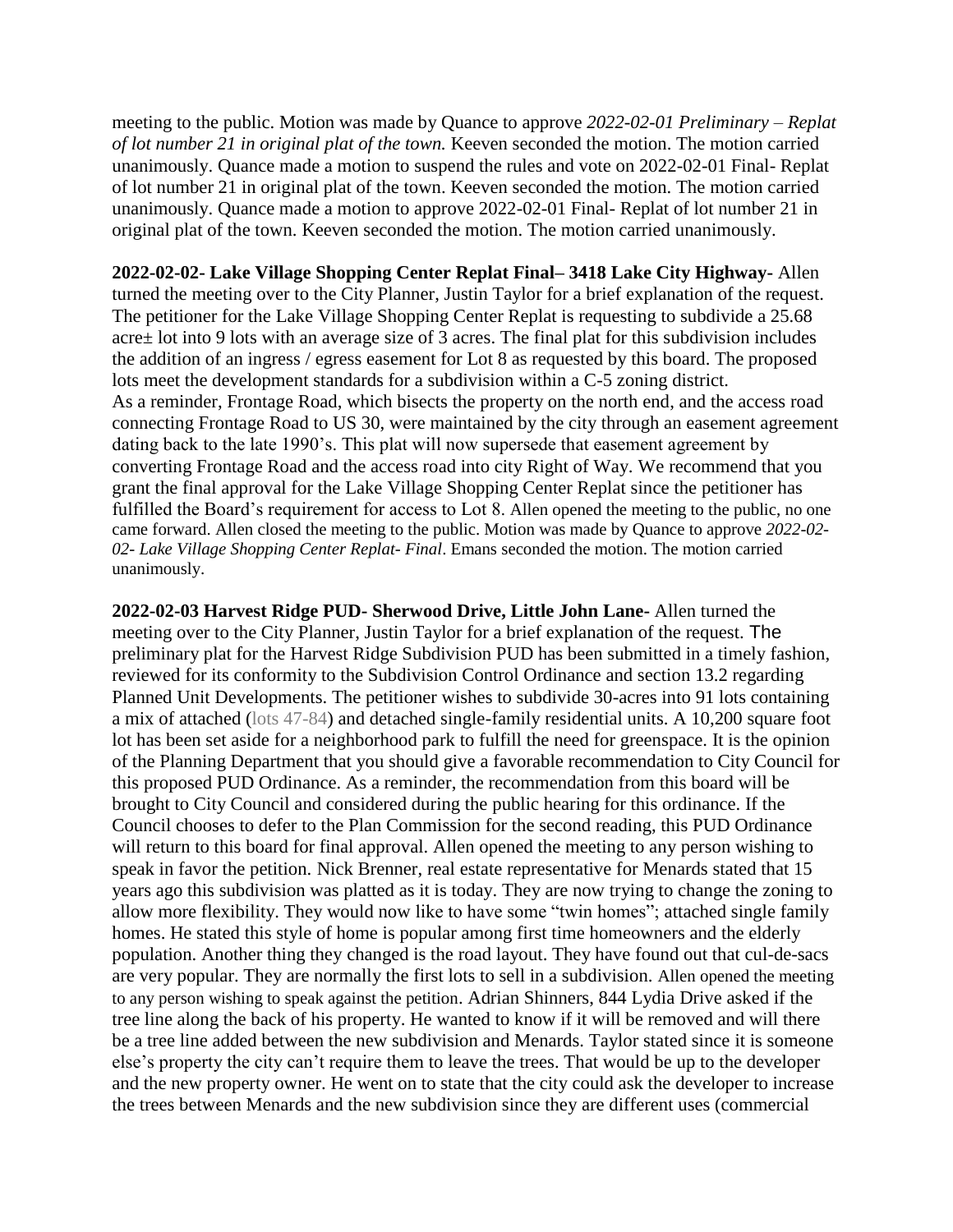meeting to the public. Motion was made by Quance to approve *2022-02-01 Preliminary – Replat of lot number 21 in original plat of the town.* Keeven seconded the motion. The motion carried unanimously. Quance made a motion to suspend the rules and vote on 2022-02-01 Final- Replat of lot number 21 in original plat of the town. Keeven seconded the motion. The motion carried unanimously. Quance made a motion to approve 2022-02-01 Final- Replat of lot number 21 in original plat of the town. Keeven seconded the motion. The motion carried unanimously.

**2022-02-02- Lake Village Shopping Center Replat Final– 3418 Lake City Highway-** Allen turned the meeting over to the City Planner, Justin Taylor for a brief explanation of the request. The petitioner for the Lake Village Shopping Center Replat is requesting to subdivide a 25.68 acre± lot into 9 lots with an average size of 3 acres. The final plat for this subdivision includes the addition of an ingress / egress easement for Lot 8 as requested by this board. The proposed lots meet the development standards for a subdivision within a C-5 zoning district. As a reminder, Frontage Road, which bisects the property on the north end, and the access road connecting Frontage Road to US 30, were maintained by the city through an easement agreement dating back to the late 1990's. This plat will now supersede that easement agreement by converting Frontage Road and the access road into city Right of Way. We recommend that you grant the final approval for the Lake Village Shopping Center Replat since the petitioner has fulfilled the Board's requirement for access to Lot 8. Allen opened the meeting to the public, no one came forward. Allen closed the meeting to the public. Motion was made by Quance to approve *2022-02- 02- Lake Village Shopping Center Replat- Final*. Emans seconded the motion. The motion carried unanimously.

**2022-02-03 Harvest Ridge PUD- Sherwood Drive, Little John Lane-** Allen turned the meeting over to the City Planner, Justin Taylor for a brief explanation of the request. The preliminary plat for the Harvest Ridge Subdivision PUD has been submitted in a timely fashion, reviewed for its conformity to the Subdivision Control Ordinance and section 13.2 regarding Planned Unit Developments. The petitioner wishes to subdivide 30-acres into 91 lots containing a mix of attached (lots 47-84) and detached single-family residential units. A 10,200 square foot lot has been set aside for a neighborhood park to fulfill the need for greenspace. It is the opinion of the Planning Department that you should give a favorable recommendation to City Council for this proposed PUD Ordinance. As a reminder, the recommendation from this board will be brought to City Council and considered during the public hearing for this ordinance. If the Council chooses to defer to the Plan Commission for the second reading, this PUD Ordinance will return to this board for final approval. Allen opened the meeting to any person wishing to speak in favor the petition. Nick Brenner, real estate representative for Menards stated that 15 years ago this subdivision was platted as it is today. They are now trying to change the zoning to allow more flexibility. They would now like to have some "twin homes"; attached single family homes. He stated this style of home is popular among first time homeowners and the elderly population. Another thing they changed is the road layout. They have found out that cul-de-sacs are very popular. They are normally the first lots to sell in a subdivision. Allen opened the meeting to any person wishing to speak against the petition. Adrian Shinners, 844 Lydia Drive asked if the tree line along the back of his property. He wanted to know if it will be removed and will there be a tree line added between the new subdivision and Menards. Taylor stated since it is someone else's property the city can't require them to leave the trees. That would be up to the developer and the new property owner. He went on to state that the city could ask the developer to increase the trees between Menards and the new subdivision since they are different uses (commercial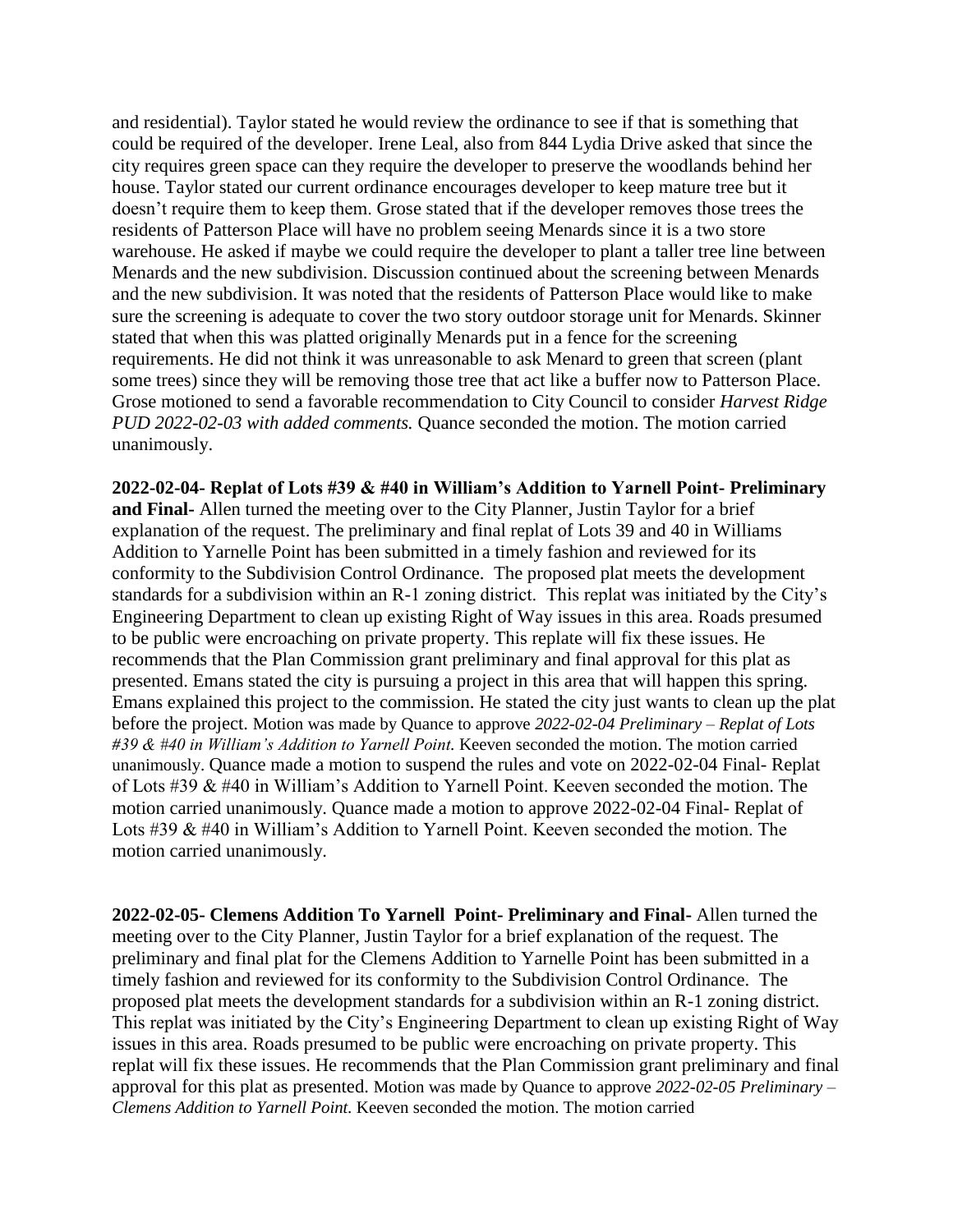and residential). Taylor stated he would review the ordinance to see if that is something that could be required of the developer. Irene Leal, also from 844 Lydia Drive asked that since the city requires green space can they require the developer to preserve the woodlands behind her house. Taylor stated our current ordinance encourages developer to keep mature tree but it doesn't require them to keep them. Grose stated that if the developer removes those trees the residents of Patterson Place will have no problem seeing Menards since it is a two store warehouse. He asked if maybe we could require the developer to plant a taller tree line between Menards and the new subdivision. Discussion continued about the screening between Menards and the new subdivision. It was noted that the residents of Patterson Place would like to make sure the screening is adequate to cover the two story outdoor storage unit for Menards. Skinner stated that when this was platted originally Menards put in a fence for the screening requirements. He did not think it was unreasonable to ask Menard to green that screen (plant some trees) since they will be removing those tree that act like a buffer now to Patterson Place. Grose motioned to send a favorable recommendation to City Council to consider *Harvest Ridge PUD 2022-02-03 with added comments.* Quance seconded the motion. The motion carried unanimously.

**2022-02-04- Replat of Lots #39 & #40 in William's Addition to Yarnell Point- Preliminary and Final-** Allen turned the meeting over to the City Planner, Justin Taylor for a brief explanation of the request. The preliminary and final replat of Lots 39 and 40 in Williams Addition to Yarnelle Point has been submitted in a timely fashion and reviewed for its conformity to the Subdivision Control Ordinance. The proposed plat meets the development standards for a subdivision within an R-1 zoning district. This replat was initiated by the City's Engineering Department to clean up existing Right of Way issues in this area. Roads presumed to be public were encroaching on private property. This replate will fix these issues. He recommends that the Plan Commission grant preliminary and final approval for this plat as presented. Emans stated the city is pursuing a project in this area that will happen this spring. Emans explained this project to the commission. He stated the city just wants to clean up the plat before the project. Motion was made by Quance to approve *2022-02-04 Preliminary – Replat of Lots #39 & #40 in William's Addition to Yarnell Point.* Keeven seconded the motion. The motion carried unanimously. Quance made a motion to suspend the rules and vote on 2022-02-04 Final- Replat of Lots #39 & #40 in William's Addition to Yarnell Point. Keeven seconded the motion. The motion carried unanimously. Quance made a motion to approve 2022-02-04 Final- Replat of Lots #39 & #40 in William's Addition to Yarnell Point. Keeven seconded the motion. The motion carried unanimously.

**2022-02-05- Clemens Addition To Yarnell Point- Preliminary and Final-** Allen turned the meeting over to the City Planner, Justin Taylor for a brief explanation of the request. The preliminary and final plat for the Clemens Addition to Yarnelle Point has been submitted in a timely fashion and reviewed for its conformity to the Subdivision Control Ordinance. The proposed plat meets the development standards for a subdivision within an R-1 zoning district. This replat was initiated by the City's Engineering Department to clean up existing Right of Way issues in this area. Roads presumed to be public were encroaching on private property. This replat will fix these issues. He recommends that the Plan Commission grant preliminary and final approval for this plat as presented. Motion was made by Quance to approve *2022-02-05 Preliminary – Clemens Addition to Yarnell Point.* Keeven seconded the motion. The motion carried